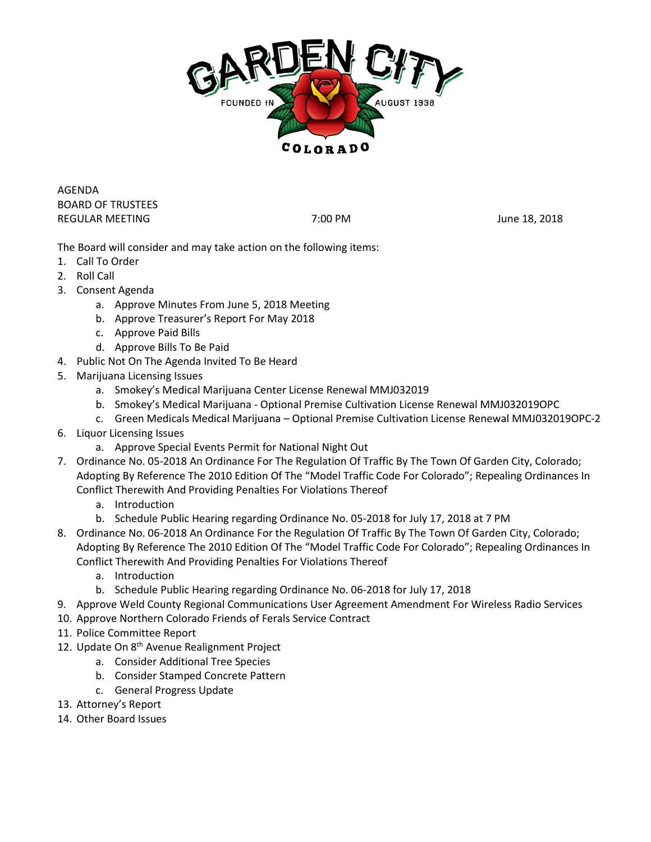

AGENDA BOARD OF TRUSTEES REGULAR MEETING **The CONTROLLET STATE CONTROLLER STATES IN THE SECULAR MEETING** TO A 2018

The Board will consider and may take action on the following items:

- 1. Call To Order
- 2. Roll Call
- 3. Consent Agenda
	- a. Approve Minutes From June 5, 2018 Meeting
	- b. Approve Treasurer's Report For May 2018
	- c. Approve Paid Bills
	- d. Approve Bills To Be Paid
- 4. Public Not On The Agenda Invited To Be Heard
- 5. Marijuana Licensing Issues
	- a. Smokey's Medical Marijuana Center License Renewal MMJ032019
	- b. Smokey's Medical Marijuana Optional Premise Cultivation License Renewal MMJ032019OPC
	- c. Green Medicals Medical Marijuana Optional Premise Cultivation License Renewal MMJ032019OPC-2
- 6. Liquor Licensing Issues
	- a. Approve Special Events Permit for National Night Out
- 7. Ordinance No. 05-2018 An Ordinance For The Regulation Of Traffic By The Town Of Garden City, Colorado; Adopting By Reference The 2010 Edition Of The "Model Traffic Code For Colorado"; Repealing Ordinances In Conflict Therewith And Providing Penalties For Violations Thereof
	- a. Introduction
	- b. Schedule Public Hearing regarding Ordinance No. 05-2018 for July 17, 2018 at 7 PM
- 8. Ordinance No. 06-2018 An Ordinance For the Regulation Of Traffic By The Town Of Garden City, Colorado; Adopting By Reference The 2010 Edition Of The "Model Traffic Code For Colorado"; Repealing Ordinances In Conflict Therewith And Providing Penalties For Violations Thereof
	- a. Introduction
	- b. Schedule Public Hearing regarding Ordinance No. 06-2018 for July 17, 2018
- 9. Approve Weld County Regional Communications User Agreement Amendment For Wireless Radio Services
- 10. Approve Northern Colorado Friends of Ferals Service Contract
- 11. Police Committee Report
- 12. Update On 8<sup>th</sup> Avenue Realignment Project
	- a. Consider Additional Tree Species
	- b. Consider Stamped Concrete Pattern
	- c. General Progress Update
- 13. Attorney's Report
- 14. Other Board Issues